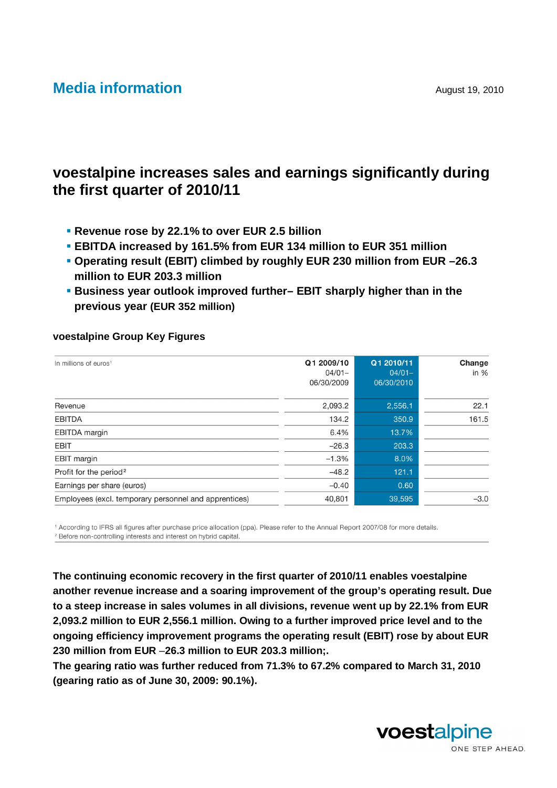# **Media information** August 19, 2010

# **voestalpine increases sales and earnings significantly during the first quarter of 2010/11**

- **Revenue rose by 22.1% to over EUR 2.5 billion**
- **EBITDA increased by 161.5% from EUR 134 million to EUR 351 million**
- **Operating result (EBIT) climbed by roughly EUR 230 million from EUR –26.3 million to EUR 203.3 million**
- **Business year outlook improved further– EBIT sharply higher than in the previous year (EUR 352 million)**

#### **voestalpine Group Key Figures**

| In millions of euros <sup>1</sup>                     | Q1 2009/10<br>$04/01 -$<br>06/30/2009 | Q1 2010/11<br>$04/01 -$<br>06/30/2010 | Change<br>in $%$ |
|-------------------------------------------------------|---------------------------------------|---------------------------------------|------------------|
| Revenue                                               | 2,093.2                               | 2,556.1                               | 22.1             |
| <b>EBITDA</b>                                         | 134.2                                 | 350.9                                 | 161.5            |
| <b>EBITDA</b> margin                                  | 6.4%                                  | 13.7%                                 |                  |
| <b>EBIT</b>                                           | $-26.3$                               | 203.3                                 |                  |
| <b>EBIT</b> margin                                    | $-1.3%$                               | 8.0%                                  |                  |
| Profit for the period <sup>2</sup>                    | $-48.2$                               | 121.1                                 |                  |
| Earnings per share (euros)                            | $-0.40$                               | 0.60                                  |                  |
| Employees (excl. temporary personnel and apprentices) | 40,801                                | 39,595                                | $-3.0$           |

<sup>1</sup> According to IFRS all figures after purchase price allocation (ppa). Please refer to the Annual Report 2007/08 for more details. <sup>2</sup> Before non-controlling interests and interest on hybrid capital.

**The continuing economic recovery in the first quarter of 2010/11 enables voestalpine another revenue increase and a soaring improvement of the group's operating result. Due to a steep increase in sales volumes in all divisions, revenue went up by 22.1% from EUR 2,093.2 million to EUR 2,556.1 million. Owing to a further improved price level and to the ongoing efficiency improvement programs the operating result (EBIT) rose by about EUR 230 million from EUR** –**26.3 million to EUR 203.3 million;.** 

**The gearing ratio was further reduced from 71.3% to 67.2% compared to March 31, 2010 (gearing ratio as of June 30, 2009: 90.1%).** 

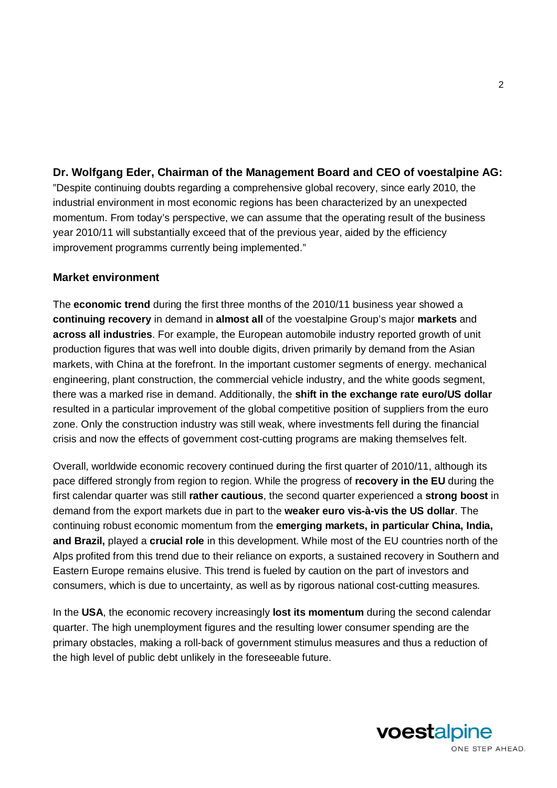# **Dr. Wolfgang Eder, Chairman of the Management Board and CEO of voestalpine AG:**

"Despite continuing doubts regarding a comprehensive global recovery, since early 2010, the industrial environment in most economic regions has been characterized by an unexpected momentum. From today's perspective, we can assume that the operating result of the business year 2010/11 will substantially exceed that of the previous year, aided by the efficiency improvement programms currently being implemented."

### **Market environment**

The **economic trend** during the first three months of the 2010/11 business year showed a **continuing recovery** in demand in **almost all** of the voestalpine Group's major **markets** and **across all industries**. For example, the European automobile industry reported growth of unit production figures that was well into double digits, driven primarily by demand from the Asian markets, with China at the forefront. In the important customer segments of energy. mechanical engineering, plant construction, the commercial vehicle industry, and the white goods segment, there was a marked rise in demand. Additionally, the **shift in the exchange rate euro/US dollar** resulted in a particular improvement of the global competitive position of suppliers from the euro zone. Only the construction industry was still weak, where investments fell during the financial crisis and now the effects of government cost-cutting programs are making themselves felt.

Overall, worldwide economic recovery continued during the first quarter of 2010/11, although its pace differed strongly from region to region. While the progress of **recovery in the EU** during the first calendar quarter was still **rather cautious**, the second quarter experienced a **strong boost** in demand from the export markets due in part to the **weaker euro vis-à-vis the US dollar**. The continuing robust economic momentum from the **emerging markets, in particular China, India, and Brazil,** played a **crucial role** in this development. While most of the EU countries north of the Alps profited from this trend due to their reliance on exports, a sustained recovery in Southern and Eastern Europe remains elusive. This trend is fueled by caution on the part of investors and consumers, which is due to uncertainty, as well as by rigorous national cost-cutting measures.

In the **USA**, the economic recovery increasingly **lost its momentum** during the second calendar quarter. The high unemployment figures and the resulting lower consumer spending are the primary obstacles, making a roll-back of government stimulus measures and thus a reduction of the high level of public debt unlikely in the foreseeable future.

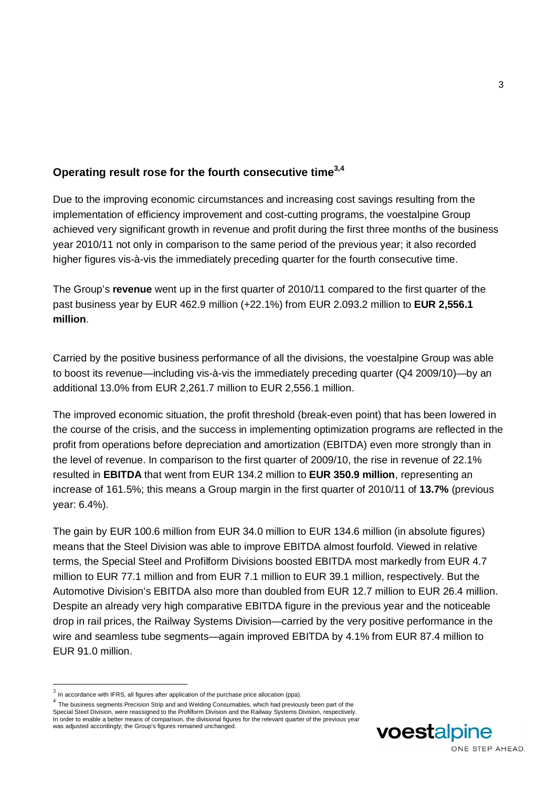# **Operating result rose for the fourth consecutive time3,4**

Due to the improving economic circumstances and increasing cost savings resulting from the implementation of efficiency improvement and cost-cutting programs, the voestalpine Group achieved very significant growth in revenue and profit during the first three months of the business year 2010/11 not only in comparison to the same period of the previous year; it also recorded higher figures vis-à-vis the immediately preceding quarter for the fourth consecutive time.

The Group's **revenue** went up in the first quarter of 2010/11 compared to the first quarter of the past business year by EUR 462.9 million (+22.1%) from EUR 2.093.2 million to **EUR 2,556.1 million**.

Carried by the positive business performance of all the divisions, the voestalpine Group was able to boost its revenue—including vis-à-vis the immediately preceding quarter (Q4 2009/10)—by an additional 13.0% from EUR 2,261.7 million to EUR 2,556.1 million.

The improved economic situation, the profit threshold (break-even point) that has been lowered in the course of the crisis, and the success in implementing optimization programs are reflected in the profit from operations before depreciation and amortization (EBITDA) even more strongly than in the level of revenue. In comparison to the first quarter of 2009/10, the rise in revenue of 22.1% resulted in **EBITDA** that went from EUR 134.2 million to **EUR 350.9 million**, representing an increase of 161.5%; this means a Group margin in the first quarter of 2010/11 of **13.7%** (previous year: 6.4%).

The gain by EUR 100.6 million from EUR 34.0 million to EUR 134.6 million (in absolute figures) means that the Steel Division was able to improve EBITDA almost fourfold. Viewed in relative terms, the Special Steel and Profilform Divisions boosted EBITDA most markedly from EUR 4.7 million to EUR 77.1 million and from EUR 7.1 million to EUR 39.1 million, respectively. But the Automotive Division's EBITDA also more than doubled from EUR 12.7 million to EUR 26.4 million. Despite an already very high comparative EBITDA figure in the previous year and the noticeable drop in rail prices, the Railway Systems Division—carried by the very positive performance in the wire and seamless tube segments—again improved EBITDA by 4.1% from EUR 87.4 million to EUR 91.0 million.

1



 $3$  In accordance with IFRS, all figures after application of the purchase price allocation (ppa).

 $^4$  The business segments Precision Strip and and Welding Consumables, which had previously been part of the Special Steel Division, were reassigned to the Profilform Division and the Railway Systems Division, respectively. In order to enable a better means of comparison, the divisional figures for the relevant quarter of the previous year was adjusted accordingly; the Group's figures remained unchanged.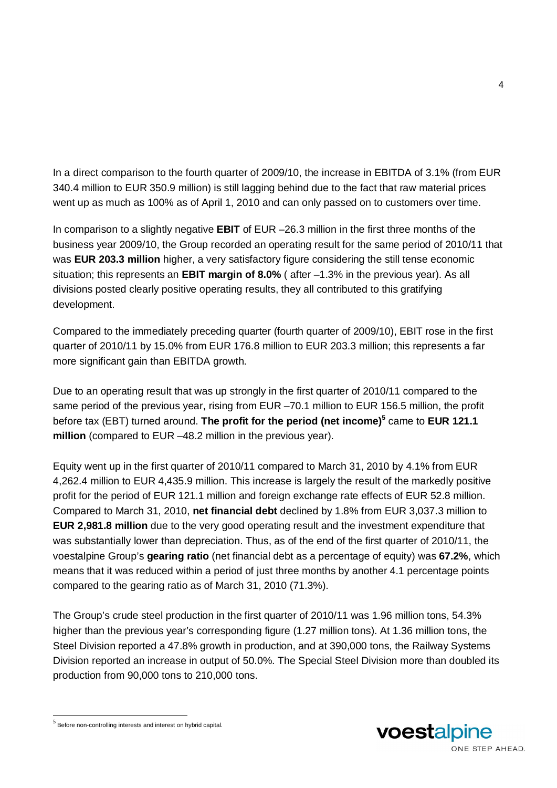In a direct comparison to the fourth quarter of 2009/10, the increase in EBITDA of 3.1% (from EUR 340.4 million to EUR 350.9 million) is still lagging behind due to the fact that raw material prices went up as much as 100% as of April 1, 2010 and can only passed on to customers over time.

In comparison to a slightly negative **EBIT** of EUR –26.3 million in the first three months of the business year 2009/10, the Group recorded an operating result for the same period of 2010/11 that was **EUR 203.3 million** higher, a very satisfactory figure considering the still tense economic situation; this represents an **EBIT margin of 8.0%** ( after –1.3% in the previous year). As all divisions posted clearly positive operating results, they all contributed to this gratifying development.

Compared to the immediately preceding quarter (fourth quarter of 2009/10), EBIT rose in the first quarter of 2010/11 by 15.0% from EUR 176.8 million to EUR 203.3 million; this represents a far more significant gain than EBITDA growth.

Due to an operating result that was up strongly in the first quarter of 2010/11 compared to the same period of the previous year, rising from EUR –70.1 million to EUR 156.5 million, the profit before tax (EBT) turned around. **The profit for the period (net income)<sup>5</sup>** came to **EUR 121.1 million** (compared to EUR –48.2 million in the previous year).

Equity went up in the first quarter of 2010/11 compared to March 31, 2010 by 4.1% from EUR 4,262.4 million to EUR 4,435.9 million. This increase is largely the result of the markedly positive profit for the period of EUR 121.1 million and foreign exchange rate effects of EUR 52.8 million. Compared to March 31, 2010, **net financial debt** declined by 1.8% from EUR 3,037.3 million to **EUR 2,981.8 million** due to the very good operating result and the investment expenditure that was substantially lower than depreciation. Thus, as of the end of the first quarter of 2010/11, the voestalpine Group's **gearing ratio** (net financial debt as a percentage of equity) was **67.2%**, which means that it was reduced within a period of just three months by another 4.1 percentage points compared to the gearing ratio as of March 31, 2010 (71.3%).

The Group's crude steel production in the first quarter of 2010/11 was 1.96 million tons, 54.3% higher than the previous year's corresponding figure (1.27 million tons). At 1.36 million tons, the Steel Division reported a 47.8% growth in production, and at 390,000 tons, the Railway Systems Division reported an increase in output of 50.0%. The Special Steel Division more than doubled its production from 90,000 tons to 210,000 tons.

-



 $<sup>5</sup>$  Before non-controlling interests and interest on hybrid capital.</sup>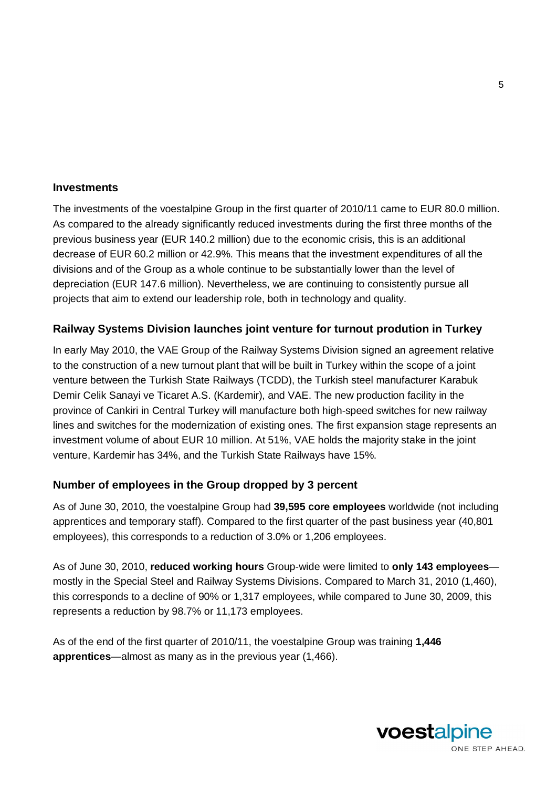#### **Investments**

The investments of the voestalpine Group in the first quarter of 2010/11 came to EUR 80.0 million. As compared to the already significantly reduced investments during the first three months of the previous business year (EUR 140.2 million) due to the economic crisis, this is an additional decrease of EUR 60.2 million or 42.9%. This means that the investment expenditures of all the divisions and of the Group as a whole continue to be substantially lower than the level of depreciation (EUR 147.6 million). Nevertheless, we are continuing to consistently pursue all projects that aim to extend our leadership role, both in technology and quality.

### **Railway Systems Division launches joint venture for turnout prodution in Turkey**

In early May 2010, the VAE Group of the Railway Systems Division signed an agreement relative to the construction of a new turnout plant that will be built in Turkey within the scope of a joint venture between the Turkish State Railways (TCDD), the Turkish steel manufacturer Karabuk Demir Celik Sanayi ve Ticaret A.S. (Kardemir), and VAE. The new production facility in the province of Cankiri in Central Turkey will manufacture both high-speed switches for new railway lines and switches for the modernization of existing ones. The first expansion stage represents an investment volume of about EUR 10 million. At 51%, VAE holds the majority stake in the joint venture, Kardemir has 34%, and the Turkish State Railways have 15%.

#### **Number of employees in the Group dropped by 3 percent**

As of June 30, 2010, the voestalpine Group had **39,595 core employees** worldwide (not including apprentices and temporary staff). Compared to the first quarter of the past business year (40,801 employees), this corresponds to a reduction of 3.0% or 1,206 employees.

As of June 30, 2010, **reduced working hours** Group-wide were limited to **only 143 employees** mostly in the Special Steel and Railway Systems Divisions. Compared to March 31, 2010 (1,460), this corresponds to a decline of 90% or 1,317 employees, while compared to June 30, 2009, this represents a reduction by 98.7% or 11,173 employees.

As of the end of the first quarter of 2010/11, the voestalpine Group was training **1,446 apprentices**—almost as many as in the previous year (1,466).

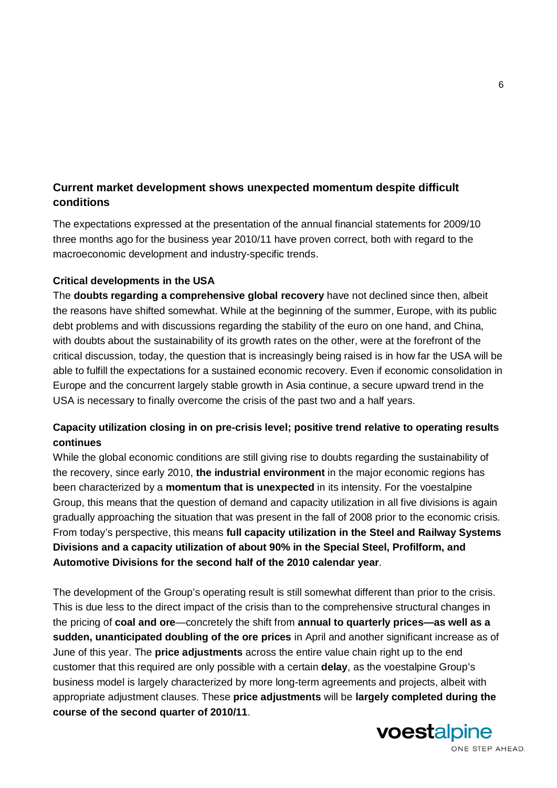# **Current market development shows unexpected momentum despite difficult conditions**

The expectations expressed at the presentation of the annual financial statements for 2009/10 three months ago for the business year 2010/11 have proven correct, both with regard to the macroeconomic development and industry-specific trends.

#### **Critical developments in the USA**

The **doubts regarding a comprehensive global recovery** have not declined since then, albeit the reasons have shifted somewhat. While at the beginning of the summer, Europe, with its public debt problems and with discussions regarding the stability of the euro on one hand, and China, with doubts about the sustainability of its growth rates on the other, were at the forefront of the critical discussion, today, the question that is increasingly being raised is in how far the USA will be able to fulfill the expectations for a sustained economic recovery. Even if economic consolidation in Europe and the concurrent largely stable growth in Asia continue, a secure upward trend in the USA is necessary to finally overcome the crisis of the past two and a half years.

# **Capacity utilization closing in on pre-crisis level; positive trend relative to operating results continues**

While the global economic conditions are still giving rise to doubts regarding the sustainability of the recovery, since early 2010, **the industrial environment** in the major economic regions has been characterized by a **momentum that is unexpected** in its intensity. For the voestalpine Group, this means that the question of demand and capacity utilization in all five divisions is again gradually approaching the situation that was present in the fall of 2008 prior to the economic crisis. From today's perspective, this means **full capacity utilization in the Steel and Railway Systems Divisions and a capacity utilization of about 90% in the Special Steel, Profilform, and Automotive Divisions for the second half of the 2010 calendar year**.

The development of the Group's operating result is still somewhat different than prior to the crisis. This is due less to the direct impact of the crisis than to the comprehensive structural changes in the pricing of **coal and ore**—concretely the shift from **annual to quarterly prices—as well as a sudden, unanticipated doubling of the ore prices** in April and another significant increase as of June of this year. The **price adjustments** across the entire value chain right up to the end customer that this required are only possible with a certain **delay**, as the voestalpine Group's business model is largely characterized by more long-term agreements and projects, albeit with appropriate adjustment clauses. These **price adjustments** will be **largely completed during the course of the second quarter of 2010/11**.



ONE STEP AHEAD.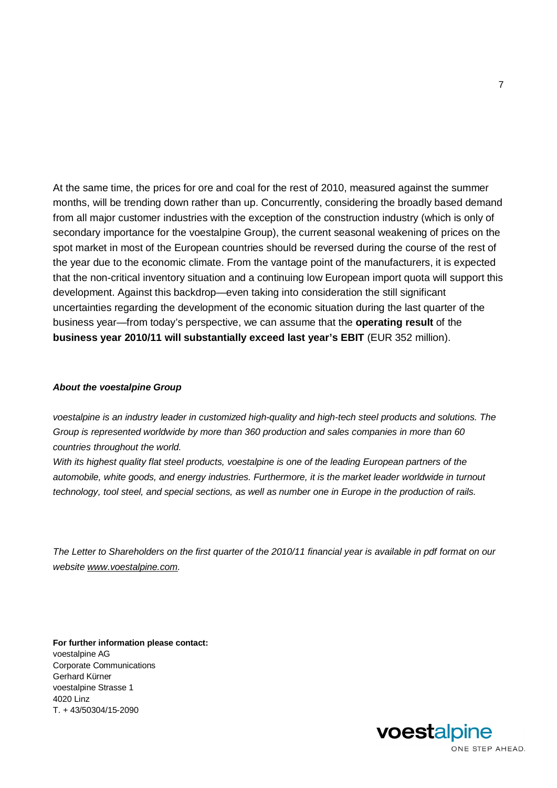At the same time, the prices for ore and coal for the rest of 2010, measured against the summer months, will be trending down rather than up. Concurrently, considering the broadly based demand from all major customer industries with the exception of the construction industry (which is only of secondary importance for the voestalpine Group), the current seasonal weakening of prices on the spot market in most of the European countries should be reversed during the course of the rest of the year due to the economic climate. From the vantage point of the manufacturers, it is expected that the non-critical inventory situation and a continuing low European import quota will support this development. Against this backdrop—even taking into consideration the still significant uncertainties regarding the development of the economic situation during the last quarter of the business year—from today's perspective, we can assume that the **operating result** of the **business year 2010/11 will substantially exceed last year's EBIT** (EUR 352 million).

#### *About the voestalpine Group*

*voestalpine is an industry leader in customized high-quality and high-tech steel products and solutions. The Group is represented worldwide by more than 360 production and sales companies in more than 60 countries throughout the world.* 

*With its highest quality flat steel products, voestalpine is one of the leading European partners of the automobile, white goods, and energy industries. Furthermore, it is the market leader worldwide in turnout technology, tool steel, and special sections, as well as number one in Europe in the production of rails.* 

*The Letter to Shareholders on the first quarter of the 2010/11 financial year is available in pdf format on our website www.voestalpine.com.* 

**For further information please contact:**  voestalpine AG Corporate Communications Gerhard Kürner voestalpine Strasse 1 4020 Linz T. + 43/50304/15-2090